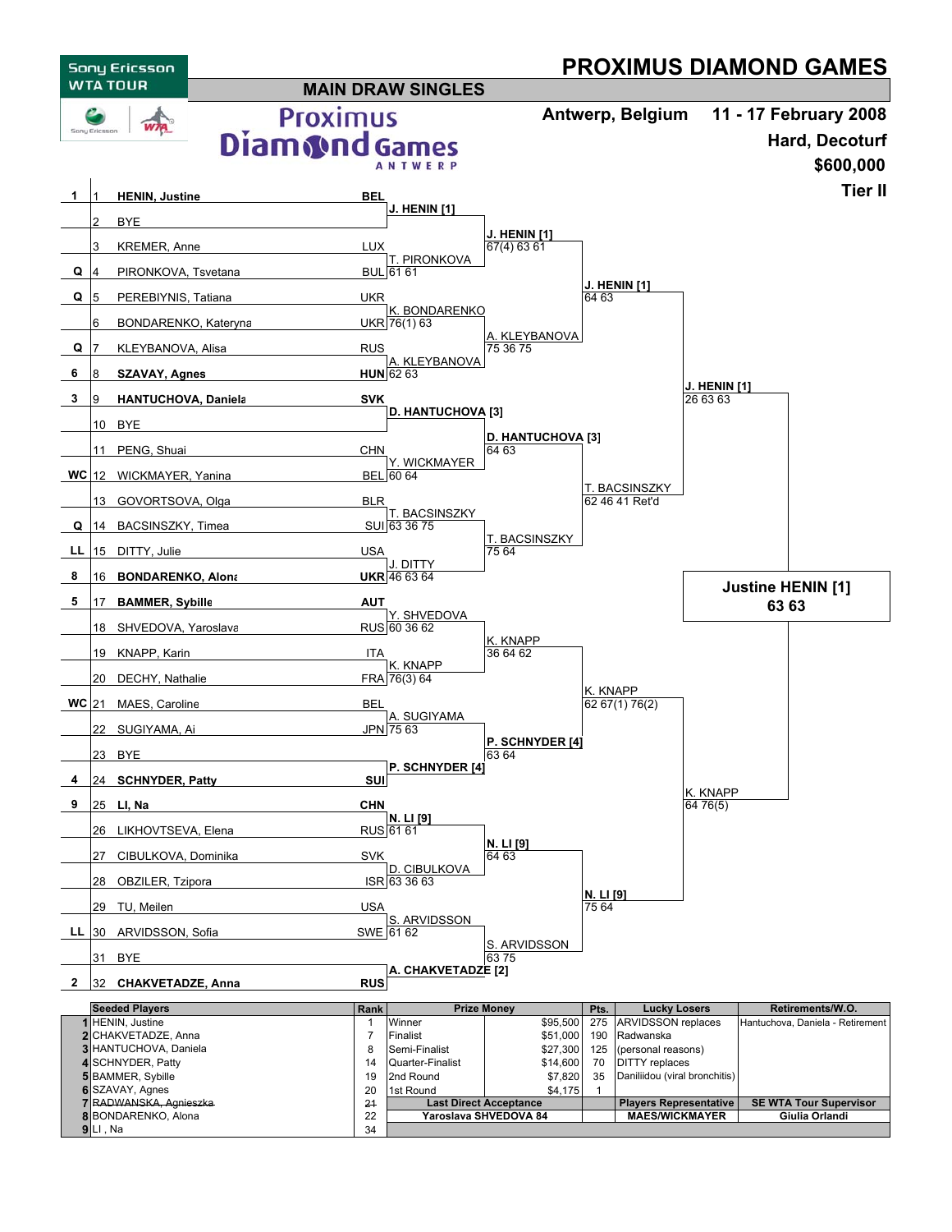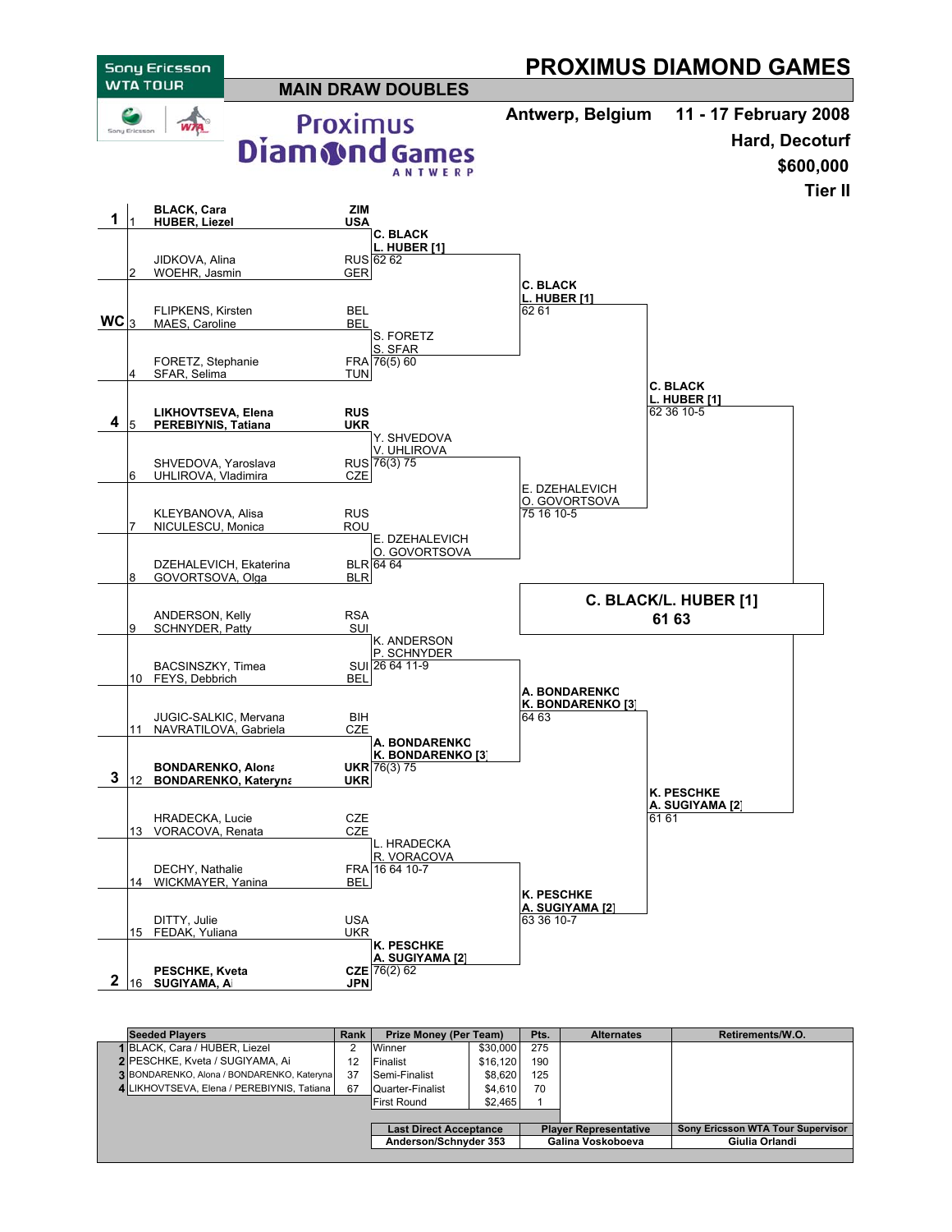

| <b>Seeded Plavers</b>                              | Rank | Prize Money (Per Team)        |          | Pts. | <b>Alternates</b>            | Retirements/W.O.                  |  |
|----------------------------------------------------|------|-------------------------------|----------|------|------------------------------|-----------------------------------|--|
| 1 BLACK, Cara / HUBER, Liezel                      |      | Winner                        | \$30,000 | 275  |                              |                                   |  |
| 2 PESCHKE, Kveta / SUGIYAMA, Ai                    | 12   | Finalist                      | \$16,120 | 190  |                              |                                   |  |
| <b>3 BONDARENKO, Alona / BONDARENKO, Katerynal</b> | 37   | Semi-Finalist                 | \$8,620  | 125  |                              |                                   |  |
| 4 LIKHOVTSEVA, Elena / PEREBIYNIS, Tatiana         | 67   | Quarter-Finalist              | \$4.610  | 70   |                              |                                   |  |
|                                                    |      | <b>First Round</b>            | \$2,465  |      |                              |                                   |  |
|                                                    |      |                               |          |      |                              |                                   |  |
|                                                    |      | <b>Last Direct Acceptance</b> |          |      | <b>Player Representative</b> | Sony Ericsson WTA Tour Supervisor |  |
|                                                    |      | Anderson/Schnyder 353         |          |      | Galina Voskoboeva            | Giulia Orlandi                    |  |
|                                                    |      |                               |          |      |                              |                                   |  |